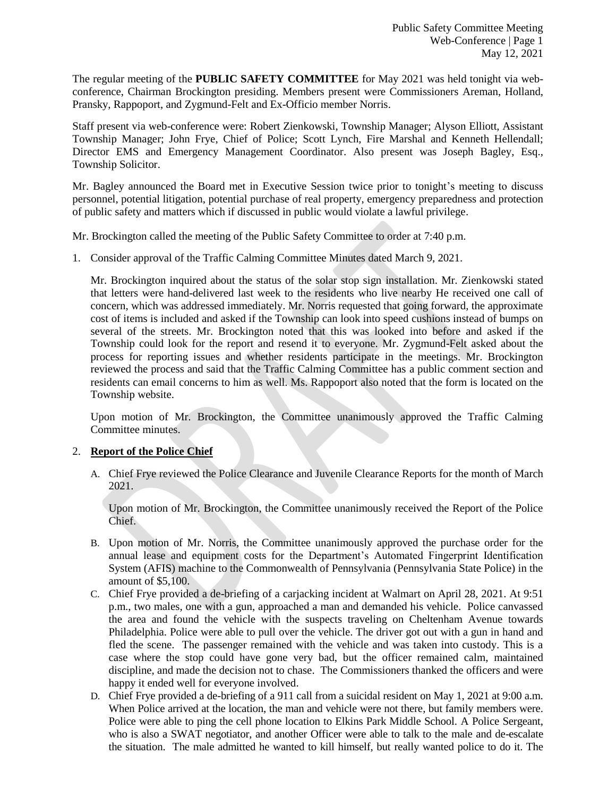The regular meeting of the **PUBLIC SAFETY COMMITTEE** for May 2021 was held tonight via webconference, Chairman Brockington presiding. Members present were Commissioners Areman, Holland, Pransky, Rappoport, and Zygmund-Felt and Ex-Officio member Norris.

Staff present via web-conference were: Robert Zienkowski, Township Manager; Alyson Elliott, Assistant Township Manager; John Frye, Chief of Police; Scott Lynch, Fire Marshal and Kenneth Hellendall; Director EMS and Emergency Management Coordinator. Also present was Joseph Bagley, Esq., Township Solicitor.

Mr. Bagley announced the Board met in Executive Session twice prior to tonight's meeting to discuss personnel, potential litigation, potential purchase of real property, emergency preparedness and protection of public safety and matters which if discussed in public would violate a lawful privilege.

Mr. Brockington called the meeting of the Public Safety Committee to order at 7:40 p.m.

1. Consider approval of the Traffic Calming Committee Minutes dated March 9, 2021.

Mr. Brockington inquired about the status of the solar stop sign installation. Mr. Zienkowski stated that letters were hand-delivered last week to the residents who live nearby He received one call of concern, which was addressed immediately. Mr. Norris requested that going forward, the approximate cost of items is included and asked if the Township can look into speed cushions instead of bumps on several of the streets. Mr. Brockington noted that this was looked into before and asked if the Township could look for the report and resend it to everyone. Mr. Zygmund-Felt asked about the process for reporting issues and whether residents participate in the meetings. Mr. Brockington reviewed the process and said that the Traffic Calming Committee has a public comment section and residents can email concerns to him as well. Ms. Rappoport also noted that the form is located on the Township website.

Upon motion of Mr. Brockington, the Committee unanimously approved the Traffic Calming Committee minutes.

# 2. **Report of the Police Chief**

A. Chief Frye reviewed the Police Clearance and Juvenile Clearance Reports for the month of March 2021.

Upon motion of Mr. Brockington, the Committee unanimously received the Report of the Police Chief.

- B. Upon motion of Mr. Norris, the Committee unanimously approved the purchase order for the annual lease and equipment costs for the Department's Automated Fingerprint Identification System (AFIS) machine to the Commonwealth of Pennsylvania (Pennsylvania State Police) in the amount of \$5,100.
- C. Chief Frye provided a de-briefing of a carjacking incident at Walmart on April 28, 2021. At 9:51 p.m., two males, one with a gun, approached a man and demanded his vehicle. Police canvassed the area and found the vehicle with the suspects traveling on Cheltenham Avenue towards Philadelphia. Police were able to pull over the vehicle. The driver got out with a gun in hand and fled the scene. The passenger remained with the vehicle and was taken into custody. This is a case where the stop could have gone very bad, but the officer remained calm, maintained discipline, and made the decision not to chase. The Commissioners thanked the officers and were happy it ended well for everyone involved.
- D. Chief Frye provided a de-briefing of a 911 call from a suicidal resident on May 1, 2021 at 9:00 a.m. When Police arrived at the location, the man and vehicle were not there, but family members were. Police were able to ping the cell phone location to Elkins Park Middle School. A Police Sergeant, who is also a SWAT negotiator, and another Officer were able to talk to the male and de-escalate the situation. The male admitted he wanted to kill himself, but really wanted police to do it. The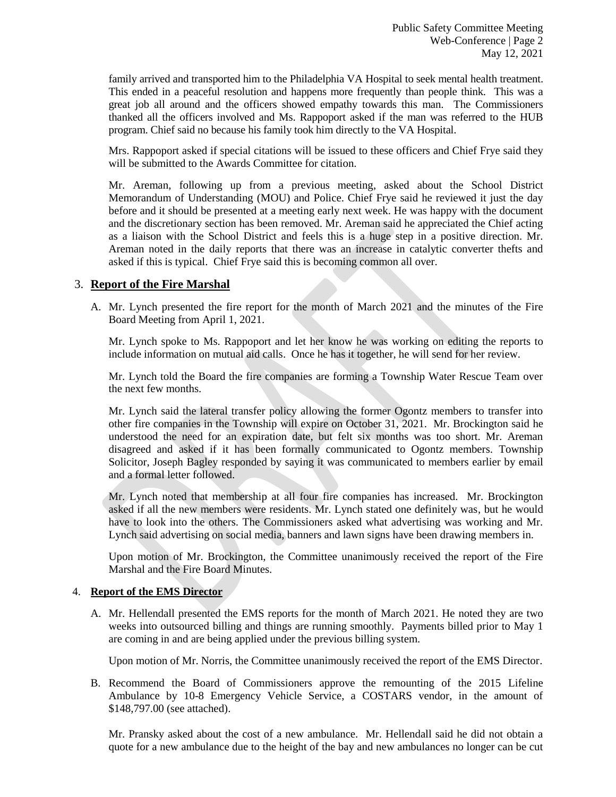family arrived and transported him to the Philadelphia VA Hospital to seek mental health treatment. This ended in a peaceful resolution and happens more frequently than people think. This was a great job all around and the officers showed empathy towards this man. The Commissioners thanked all the officers involved and Ms. Rappoport asked if the man was referred to the HUB program. Chief said no because his family took him directly to the VA Hospital.

Mrs. Rappoport asked if special citations will be issued to these officers and Chief Frye said they will be submitted to the Awards Committee for citation.

Mr. Areman, following up from a previous meeting, asked about the School District Memorandum of Understanding (MOU) and Police. Chief Frye said he reviewed it just the day before and it should be presented at a meeting early next week. He was happy with the document and the discretionary section has been removed. Mr. Areman said he appreciated the Chief acting as a liaison with the School District and feels this is a huge step in a positive direction. Mr. Areman noted in the daily reports that there was an increase in catalytic converter thefts and asked if this is typical. Chief Frye said this is becoming common all over.

# 3. **Report of the Fire Marshal**

A. Mr. Lynch presented the fire report for the month of March 2021 and the minutes of the Fire Board Meeting from April 1, 2021.

Mr. Lynch spoke to Ms. Rappoport and let her know he was working on editing the reports to include information on mutual aid calls. Once he has it together, he will send for her review.

Mr. Lynch told the Board the fire companies are forming a Township Water Rescue Team over the next few months.

Mr. Lynch said the lateral transfer policy allowing the former Ogontz members to transfer into other fire companies in the Township will expire on October 31, 2021. Mr. Brockington said he understood the need for an expiration date, but felt six months was too short. Mr. Areman disagreed and asked if it has been formally communicated to Ogontz members. Township Solicitor, Joseph Bagley responded by saying it was communicated to members earlier by email and a formal letter followed.

Mr. Lynch noted that membership at all four fire companies has increased. Mr. Brockington asked if all the new members were residents. Mr. Lynch stated one definitely was, but he would have to look into the others. The Commissioners asked what advertising was working and Mr. Lynch said advertising on social media, banners and lawn signs have been drawing members in.

Upon motion of Mr. Brockington, the Committee unanimously received the report of the Fire Marshal and the Fire Board Minutes.

### 4. **Report of the EMS Director**

A. Mr. Hellendall presented the EMS reports for the month of March 2021. He noted they are two weeks into outsourced billing and things are running smoothly. Payments billed prior to May 1 are coming in and are being applied under the previous billing system.

Upon motion of Mr. Norris, the Committee unanimously received the report of the EMS Director.

B. Recommend the Board of Commissioners approve the remounting of the 2015 Lifeline Ambulance by 10-8 Emergency Vehicle Service, a COSTARS vendor, in the amount of \$148,797.00 (see attached).

Mr. Pransky asked about the cost of a new ambulance. Mr. Hellendall said he did not obtain a quote for a new ambulance due to the height of the bay and new ambulances no longer can be cut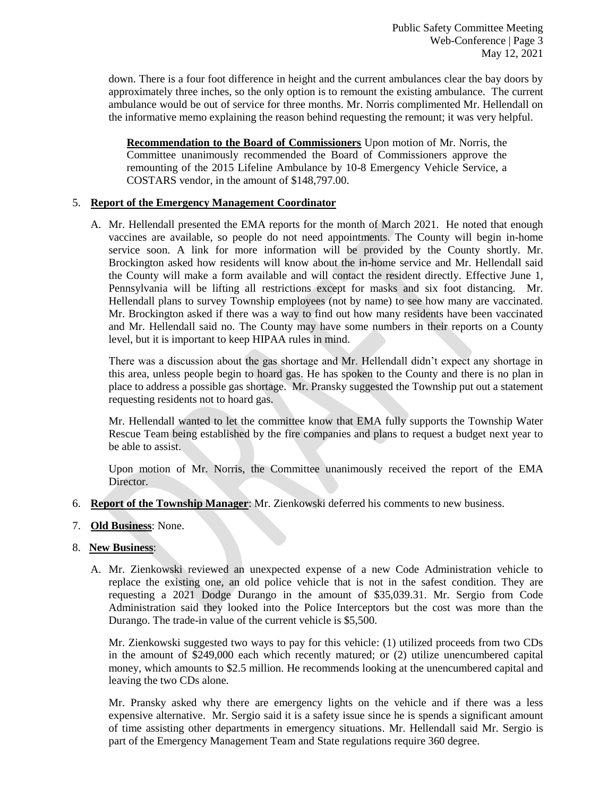down. There is a four foot difference in height and the current ambulances clear the bay doors by approximately three inches, so the only option is to remount the existing ambulance. The current ambulance would be out of service for three months. Mr. Norris complimented Mr. Hellendall on the informative memo explaining the reason behind requesting the remount; it was very helpful.

**Recommendation to the Board of Commissioners** Upon motion of Mr. Norris, the Committee unanimously recommended the Board of Commissioners approve the remounting of the 2015 Lifeline Ambulance by 10-8 Emergency Vehicle Service, a COSTARS vendor, in the amount of \$148,797.00.

### 5. **Report of the Emergency Management Coordinator**

A. Mr. Hellendall presented the EMA reports for the month of March 2021. He noted that enough vaccines are available, so people do not need appointments. The County will begin in-home service soon. A link for more information will be provided by the County shortly. Mr. Brockington asked how residents will know about the in-home service and Mr. Hellendall said the County will make a form available and will contact the resident directly. Effective June 1, Pennsylvania will be lifting all restrictions except for masks and six foot distancing. Mr. Hellendall plans to survey Township employees (not by name) to see how many are vaccinated. Mr. Brockington asked if there was a way to find out how many residents have been vaccinated and Mr. Hellendall said no. The County may have some numbers in their reports on a County level, but it is important to keep HIPAA rules in mind.

There was a discussion about the gas shortage and Mr. Hellendall didn't expect any shortage in this area, unless people begin to hoard gas. He has spoken to the County and there is no plan in place to address a possible gas shortage. Mr. Pransky suggested the Township put out a statement requesting residents not to hoard gas.

Mr. Hellendall wanted to let the committee know that EMA fully supports the Township Water Rescue Team being established by the fire companies and plans to request a budget next year to be able to assist.

Upon motion of Mr. Norris, the Committee unanimously received the report of the EMA Director.

- 6. **Report of the Township Manager**: Mr. Zienkowski deferred his comments to new business.
- 7. **Old Business**: None.
- 8. **New Business**:
	- A. Mr. Zienkowski reviewed an unexpected expense of a new Code Administration vehicle to replace the existing one, an old police vehicle that is not in the safest condition. They are requesting a 2021 Dodge Durango in the amount of \$35,039.31. Mr. Sergio from Code Administration said they looked into the Police Interceptors but the cost was more than the Durango. The trade-in value of the current vehicle is \$5,500.

Mr. Zienkowski suggested two ways to pay for this vehicle: (1) utilized proceeds from two CDs in the amount of \$249,000 each which recently matured; or (2) utilize unencumbered capital money, which amounts to \$2.5 million. He recommends looking at the unencumbered capital and leaving the two CDs alone.

Mr. Pransky asked why there are emergency lights on the vehicle and if there was a less expensive alternative. Mr. Sergio said it is a safety issue since he is spends a significant amount of time assisting other departments in emergency situations. Mr. Hellendall said Mr. Sergio is part of the Emergency Management Team and State regulations require 360 degree.